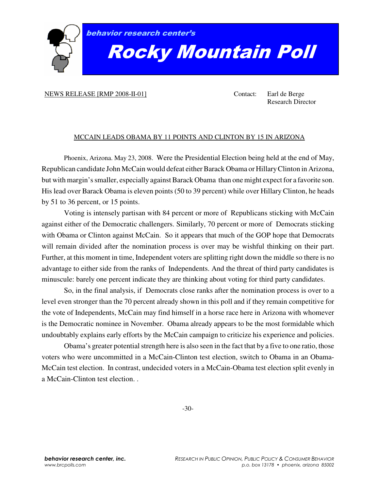

behavior research center's

## Rocky Mountain Poll

## NEWS RELEASE [RMP 2008-II-01] Contact: Earl de Berge

Research Director

## MCCAIN LEADS OBAMA BY 11 POINTS AND CLINTON BY 15 IN ARIZONA

Phoenix, Arizona. May 23, 2008. Were the Presidential Election being held at the end of May, Republican candidate John McCain would defeat either Barack Obama or Hillary Clinton in Arizona, but with margin's smaller, especially against Barack Obama than one might expect for a favorite son. His lead over Barack Obama is eleven points (50 to 39 percent) while over Hillary Clinton, he heads by 51 to 36 percent, or 15 points.

Voting is intensely partisan with 84 percent or more of Republicans sticking with McCain against either of the Democratic challengers. Similarly, 70 percent or more of Democrats sticking with Obama or Clinton against McCain. So it appears that much of the GOP hope that Democrats will remain divided after the nomination process is over may be wishful thinking on their part. Further, at this moment in time, Independent voters are splitting right down the middle so there is no advantage to either side from the ranks of Independents. And the threat of third party candidates is minuscule: barely one percent indicate they are thinking about voting for third party candidates.

So, in the final analysis, if Democrats close ranks after the nomination process is over to a level even stronger than the 70 percent already shown in this poll and if they remain competitive for the vote of Independents, McCain may find himself in a horse race here in Arizona with whomever is the Democratic nominee in November. Obama already appears to be the most formidable which undoubtably explains early efforts by the McCain campaign to criticize his experience and policies.

Obama's greater potential strength here is also seen in the fact that by a five to one ratio, those voters who were uncommitted in a McCain-Clinton test election, switch to Obama in an Obama-McCain test election. In contrast, undecided voters in a McCain-Obama test election split evenly in a McCain-Clinton test election. .

-30-